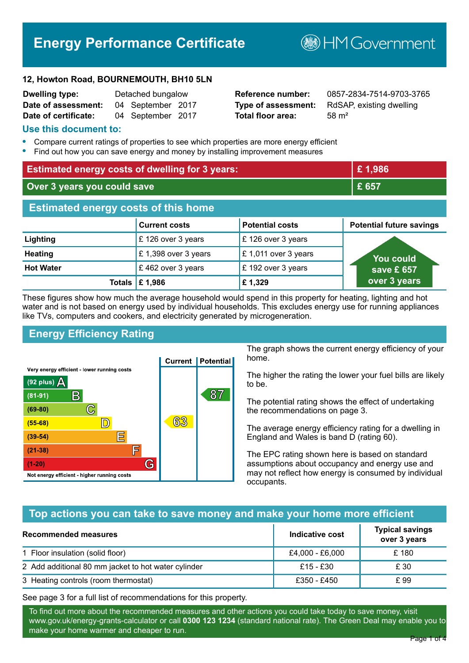# **Energy Performance Certificate**

**B**HM Government

#### **12, Howton Road, BOURNEMOUTH, BH10 5LN**

| <b>Dwelling type:</b> | Detached bungalow |                   |  |
|-----------------------|-------------------|-------------------|--|
| Date of assessment:   |                   | 04 September 2017 |  |
| Date of certificate:  |                   | 04 September 2017 |  |

**Total floor area:** 58 m<sup>2</sup>

**Reference number:** 0857-2834-7514-9703-3765 **Type of assessment:** RdSAP, existing dwelling

#### **Use this document to:**

- **•** Compare current ratings of properties to see which properties are more energy efficient
- **•** Find out how you can save energy and money by installing improvement measures

| <b>Estimated energy costs of dwelling for 3 years:</b> |                      | £1,986                 |                                 |
|--------------------------------------------------------|----------------------|------------------------|---------------------------------|
| Over 3 years you could save                            |                      | £ 657                  |                                 |
| <b>Estimated energy costs of this home</b>             |                      |                        |                                 |
|                                                        | <b>Current costs</b> | <b>Potential costs</b> | <b>Potential future savings</b> |
| Lighting                                               | £126 over 3 years    | £126 over 3 years      |                                 |
| <b>Heating</b>                                         | £1,398 over 3 years  | £1,011 over 3 years    | <b>You could</b>                |
| <b>Hot Water</b>                                       | £462 over 3 years    | £192 over 3 years      | save £ 657                      |
| Totals                                                 | £1,986               | £1,329                 | over 3 years                    |

These figures show how much the average household would spend in this property for heating, lighting and hot water and is not based on energy used by individual households. This excludes energy use for running appliances like TVs, computers and cookers, and electricity generated by microgeneration.

## **Energy Efficiency Rating**



The graph shows the current energy efficiency of your home.

The higher the rating the lower your fuel bills are likely to be.

The potential rating shows the effect of undertaking the recommendations on page 3.

The average energy efficiency rating for a dwelling in England and Wales is band D (rating 60).

The EPC rating shown here is based on standard assumptions about occupancy and energy use and may not reflect how energy is consumed by individual occupants.

## **Top actions you can take to save money and make your home more efficient**

| Recommended measures                                | Indicative cost | <b>Typical savings</b><br>over 3 years |
|-----------------------------------------------------|-----------------|----------------------------------------|
| 1 Floor insulation (solid floor)                    | £4,000 - £6,000 | £180                                   |
| 2 Add additional 80 mm jacket to hot water cylinder | £15 - £30       | £ 30                                   |
| 3 Heating controls (room thermostat)                | £350 - £450     | £ 99                                   |

See page 3 for a full list of recommendations for this property.

To find out more about the recommended measures and other actions you could take today to save money, visit www.gov.uk/energy-grants-calculator or call **0300 123 1234** (standard national rate). The Green Deal may enable you to make your home warmer and cheaper to run.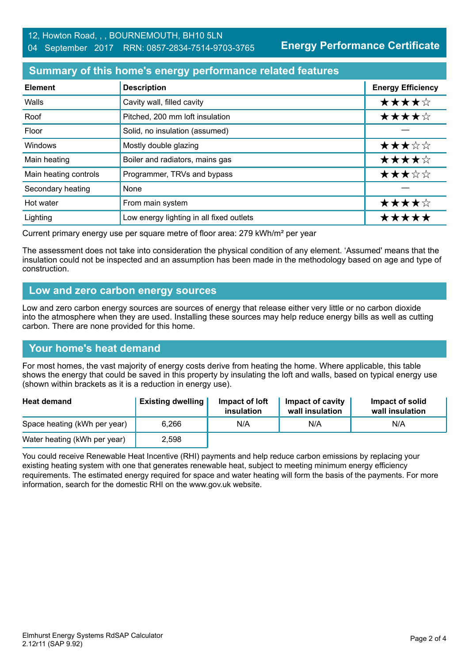**Energy Performance Certificate**

## **Summary of this home's energy performance related features**

| <b>Element</b>        | <b>Description</b>                       | <b>Energy Efficiency</b> |
|-----------------------|------------------------------------------|--------------------------|
| Walls                 | Cavity wall, filled cavity               | ★★★★☆                    |
| Roof                  | Pitched, 200 mm loft insulation          | ★★★★☆                    |
| Floor                 | Solid, no insulation (assumed)           |                          |
| Windows               | Mostly double glazing                    | ★★★☆☆                    |
| Main heating          | Boiler and radiators, mains gas          | ★★★★☆                    |
| Main heating controls | Programmer, TRVs and bypass              | ★★★☆☆                    |
| Secondary heating     | None                                     |                          |
| Hot water             | From main system                         | ★★★★☆                    |
| Lighting              | Low energy lighting in all fixed outlets | *****                    |

Current primary energy use per square metre of floor area: 279 kWh/m² per year

The assessment does not take into consideration the physical condition of any element. 'Assumed' means that the insulation could not be inspected and an assumption has been made in the methodology based on age and type of construction.

## **Low and zero carbon energy sources**

Low and zero carbon energy sources are sources of energy that release either very little or no carbon dioxide into the atmosphere when they are used. Installing these sources may help reduce energy bills as well as cutting carbon. There are none provided for this home.

## **Your home's heat demand**

For most homes, the vast majority of energy costs derive from heating the home. Where applicable, this table shows the energy that could be saved in this property by insulating the loft and walls, based on typical energy use (shown within brackets as it is a reduction in energy use).

| <b>Heat demand</b>           | <b>Existing dwelling</b> | Impact of loft<br>insulation | Impact of cavity<br>wall insulation | Impact of solid<br>wall insulation |
|------------------------------|--------------------------|------------------------------|-------------------------------------|------------------------------------|
| Space heating (kWh per year) | 6.266                    | N/A                          | N/A                                 | N/A                                |
| Water heating (kWh per year) | 2.598                    |                              |                                     |                                    |

You could receive Renewable Heat Incentive (RHI) payments and help reduce carbon emissions by replacing your existing heating system with one that generates renewable heat, subject to meeting minimum energy efficiency requirements. The estimated energy required for space and water heating will form the basis of the payments. For more information, search for the domestic RHI on the www.gov.uk website.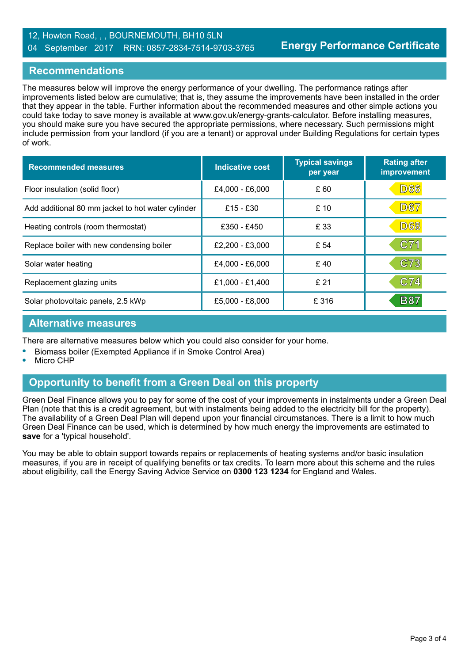#### 12, Howton Road, , , BOURNEMOUTH, BH10 5LN 04 September 2017 RRN: 0857-2834-7514-9703-3765

## **Recommendations**

The measures below will improve the energy performance of your dwelling. The performance ratings after improvements listed below are cumulative; that is, they assume the improvements have been installed in the order that they appear in the table. Further information about the recommended measures and other simple actions you could take today to save money is available at www.gov.uk/energy-grants-calculator. Before installing measures, you should make sure you have secured the appropriate permissions, where necessary. Such permissions might include permission from your landlord (if you are a tenant) or approval under Building Regulations for certain types of work.

| <b>Recommended measures</b>                       | Indicative cost | <b>Typical savings</b><br>per year | <b>Rating after</b><br>improvement |
|---------------------------------------------------|-----------------|------------------------------------|------------------------------------|
| Floor insulation (solid floor)                    | £4,000 - £6,000 | £ 60                               | <b>D66</b>                         |
| Add additional 80 mm jacket to hot water cylinder | £15 - £30       | £10                                | <b>D67</b>                         |
| Heating controls (room thermostat)                | £350 - £450     | £ 33                               | <b>D68</b>                         |
| Replace boiler with new condensing boiler         | £2,200 - £3,000 | £ 54                               | C71                                |
| Solar water heating                               | £4,000 - £6,000 | £40                                | C73                                |
| Replacement glazing units                         | £1,000 - £1,400 | £21                                | C74                                |
| Solar photovoltaic panels, 2.5 kWp                | £5,000 - £8,000 | £316                               | <b>B87</b>                         |

## **Alternative measures**

There are alternative measures below which you could also consider for your home.

- **•** Biomass boiler (Exempted Appliance if in Smoke Control Area)
- **•** Micro CHP

## **Opportunity to benefit from a Green Deal on this property**

Green Deal Finance allows you to pay for some of the cost of your improvements in instalments under a Green Deal Plan (note that this is a credit agreement, but with instalments being added to the electricity bill for the property). The availability of a Green Deal Plan will depend upon your financial circumstances. There is a limit to how much Green Deal Finance can be used, which is determined by how much energy the improvements are estimated to **save** for a 'typical household'.

You may be able to obtain support towards repairs or replacements of heating systems and/or basic insulation measures, if you are in receipt of qualifying benefits or tax credits. To learn more about this scheme and the rules about eligibility, call the Energy Saving Advice Service on **0300 123 1234** for England and Wales.